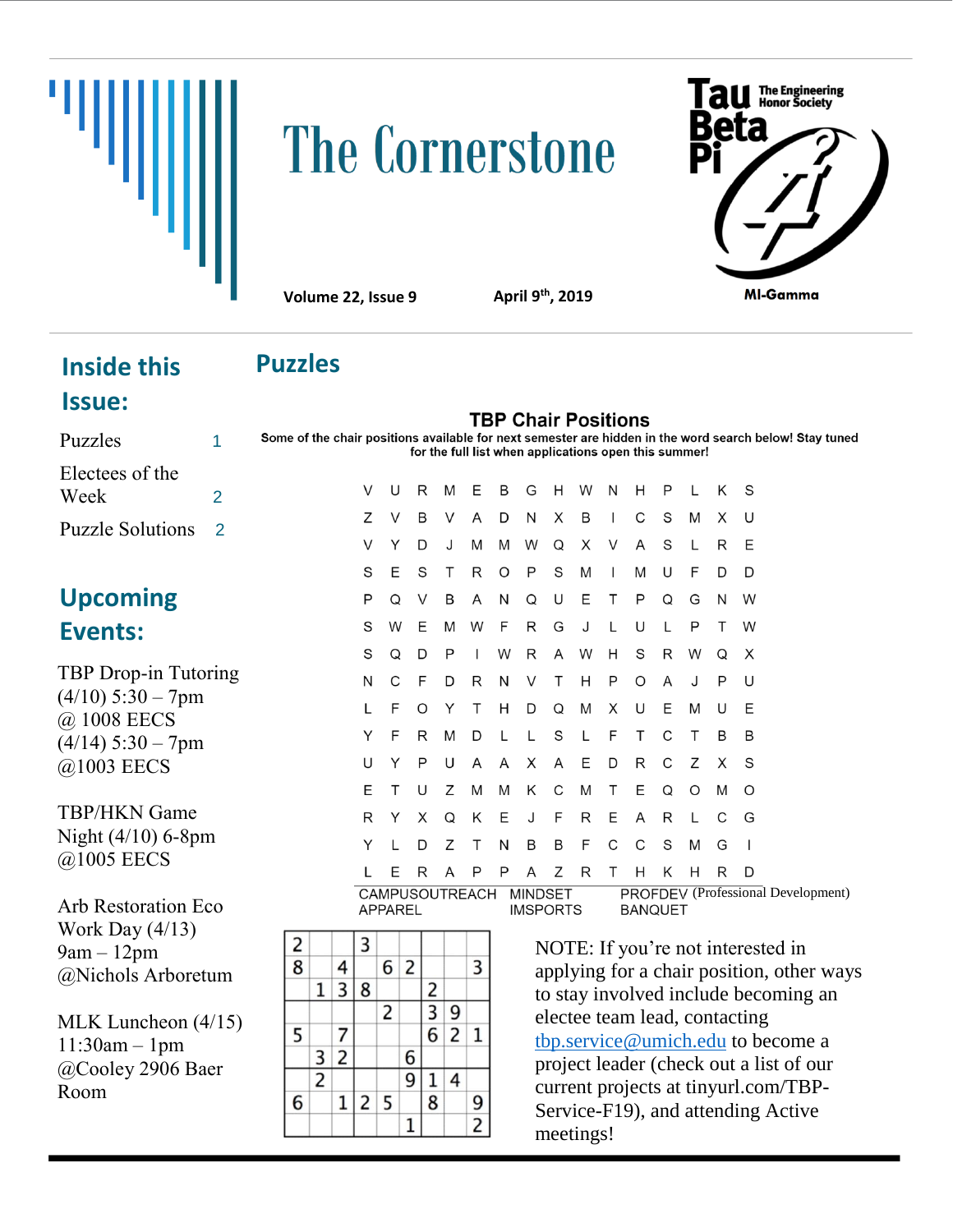

# The Cornerstone



**Volume 22, Issue 9** 

**th, 2019**

### **Inside this Issue:**

## **Puzzles**

|  |  |  |  | <b>TBP Chair Positions</b>           |  |
|--|--|--|--|--------------------------------------|--|
|  |  |  |  | ahla far navt camactar ara hiddan in |  |

Puzzles 1 Some of the chair positions available for next semester are hidden in the word search below! Stay tuned for the full list when applications open this summer!

| Electees of the           |   |
|---------------------------|---|
| Week                      | 2 |
| <b>Puzzle Solutions</b> 2 |   |

## **Upcoming Events:**

TBP Drop-in Tutoring  $(4/10)$  5:30 – 7pm @ 1008 EECS  $(4/14)$  5:30 – 7pm @1003 EECS

TBP/HKN Game Night (4/10) 6-8pm @1005 EECS

Arb Restoration Eco Work Day (4/13) 9am – 12pm @Nichols Arboretum

MLK Luncheon (4/15) 11:30am – 1pm @Cooley 2906 Baer Room

| V | U | R | M | E | B | G                      | Н | W                                  | Ν                        | Н | P | L | Κ | S |
|---|---|---|---|---|---|------------------------|---|------------------------------------|--------------------------|---|---|---|---|---|
| Ζ | V | В | V | A | D | N                      | X | B                                  | $\overline{\phantom{a}}$ | С | S | M | X | U |
| V | Υ | D | J | M | M | W                      | Q | X                                  | V                        | A | S | L | R | Ε |
| S | E | S | Т | R | O | P                      | S | M                                  | $\mathsf{I}$             | M | U | F | D | D |
| P | Q | V | B | A | N | Q                      | U | Ε                                  | Τ                        | Ρ | Q | G | N | W |
| S | W | Ε | M | W | F | R                      | G | J                                  | L                        | U | L | P | Τ | W |
| S | Q | D | P | T | W | R                      | A | W                                  | Н                        | S | R | W | Q | X |
| N | C | F | D | R | N | V                      | Τ | Н                                  | P                        | O | A | J | P | U |
| L | F | O | Υ | Τ | H | D                      | Q | M                                  | X                        | U | Ε | M | U | Ε |
| Υ | F | R | M | D | L | L                      | S | L                                  | F                        | Τ | C | Τ | B | B |
| U | Υ | P | U | A | A | X                      | A | Ε                                  | D                        | R | C | Ζ | X | S |
| Е | Τ | U | Ζ | M | M | Κ                      | C | M                                  | Т                        | Ε | Q | O | M | O |
| R | Y | X | Q | Κ | Ε | J                      | F | R                                  | Ε                        | A | R | L | C | G |
| Y | L | D | Ζ | Τ | N | B                      | B | F                                  | C                        | C | S | M | G | I |
| L | Ε | R | A | P | P | A                      | Ζ | R                                  | Τ                        | Н | Κ | Н | R | D |
|   |   |   |   |   |   | CAMPUSOUTREACH MINDSET |   | PROFDEV (Professional Development) |                          |   |   |   |   |   |

CAMPUSOUTREACH MINDSET **APPAREL** 

**IMSPORTS** 

2 3 8 4  $6\overline{2}$ 3  $1 \mid 3 \mid 8$  $\overline{2}$  $3|9$  $\overline{2}$ 5  $\overline{7}$  $6 \mid 2 \mid 1$  $3\overline{2}$ 6  $\overline{2}$  $\overline{9}$  $1 \vert 4$  $1|2|5$ 6 8 9  $\overline{2}$  $\mathbf{1}$ 

NOTE: If you're not interested in applying for a chair position, other ways to stay involved include becoming an electee team lead, contacting [tbp.service@umich.edu](mailto:tbp.service@umich.edu) to become a project leader (check out a list of our current projects at tinyurl.com/TBP-Service-F19), and attending Active meetings!

**BANQUET**